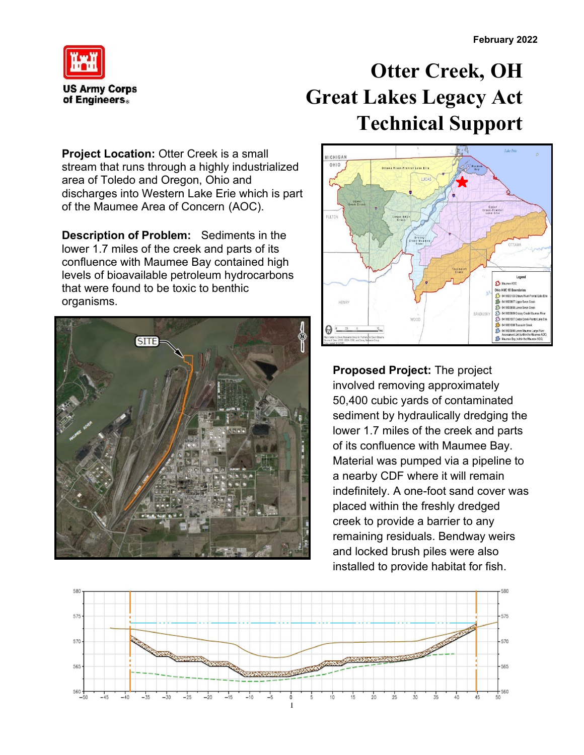

## **Otter Creek, OH Great Lakes Legacy Act Technical Support**

**Project Location: Otter Creek is a small** stream that runs through a highly industrialized area of Toledo and Oregon, Ohio and discharges into Western Lake Erie which is part of the Maumee Area of Concern (AOC).

**Description of Problem:** Sediments in the lower 1.7 miles of the creek and parts of its confluence with Maumee Bay contained high levels of bioavailable petroleum hydrocarbons that were found to be toxic to benthic organisms.





**Proposed Project:** The project involved removing approximately 50,400 cubic yards of contaminated sediment by hydraulically dredging the lower 1.7 miles of the creek and parts of its confluence with Maumee Bay. Material was pumped via a pipeline to a nearby CDF where it will remain indefinitely. A one-foot sand cover was placed within the freshly dredged creek to provide a barrier to any remaining residuals. Bendway weirs and locked brush piles were also installed to provide habitat for fish.